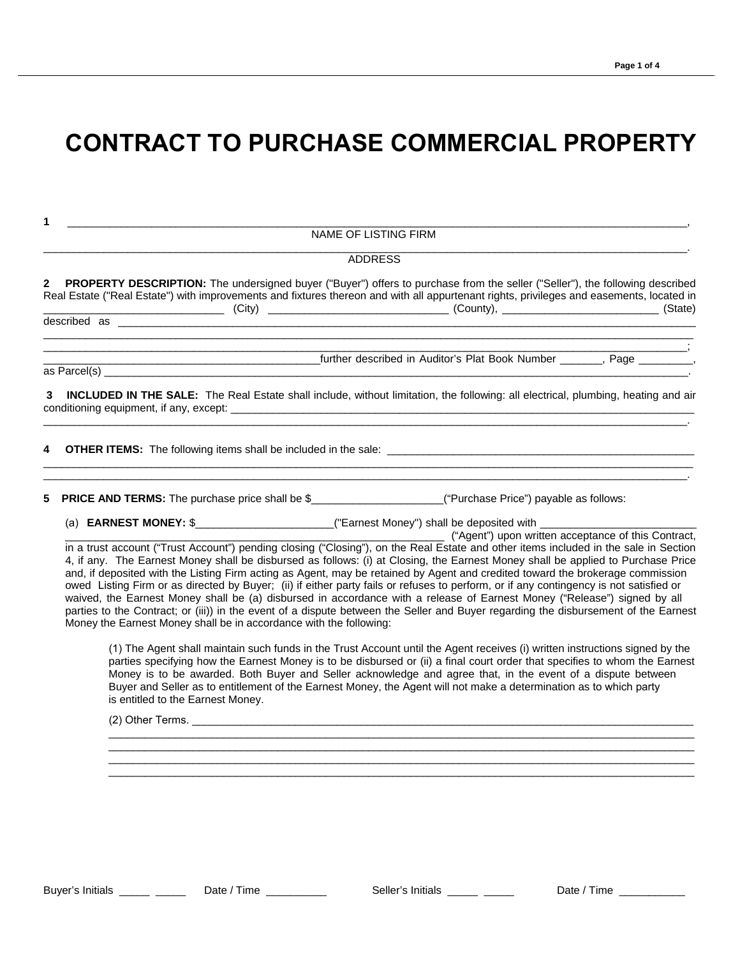## **CONTRACT TO PURCHASE COMMERCIAL PROPERTY**

| NAME OF LISTING FIRM                                                                                                                                                                                                                                                                                                                                                                                                                                                                                                                                                                                                                                                                                                                                                                                                                                                                                                                                                                                                                                                                                                                                                                                                                                                                                                                                                                                                                                    |
|---------------------------------------------------------------------------------------------------------------------------------------------------------------------------------------------------------------------------------------------------------------------------------------------------------------------------------------------------------------------------------------------------------------------------------------------------------------------------------------------------------------------------------------------------------------------------------------------------------------------------------------------------------------------------------------------------------------------------------------------------------------------------------------------------------------------------------------------------------------------------------------------------------------------------------------------------------------------------------------------------------------------------------------------------------------------------------------------------------------------------------------------------------------------------------------------------------------------------------------------------------------------------------------------------------------------------------------------------------------------------------------------------------------------------------------------------------|
| <b>ADDRESS</b>                                                                                                                                                                                                                                                                                                                                                                                                                                                                                                                                                                                                                                                                                                                                                                                                                                                                                                                                                                                                                                                                                                                                                                                                                                                                                                                                                                                                                                          |
| <b>PROPERTY DESCRIPTION:</b> The undersigned buyer ("Buyer") offers to purchase from the seller ("Seller"), the following described<br>Real Estate ("Real Estate") with improvements and fixtures thereon and with all appurtenant rights, privileges and easements, located in                                                                                                                                                                                                                                                                                                                                                                                                                                                                                                                                                                                                                                                                                                                                                                                                                                                                                                                                                                                                                                                                                                                                                                         |
|                                                                                                                                                                                                                                                                                                                                                                                                                                                                                                                                                                                                                                                                                                                                                                                                                                                                                                                                                                                                                                                                                                                                                                                                                                                                                                                                                                                                                                                         |
| LACCORD Text Control of Plat Book Number LACCORD Page LACCORD MULLET CONTROLLET A CONTROLLET A GUIDEAN AND THE                                                                                                                                                                                                                                                                                                                                                                                                                                                                                                                                                                                                                                                                                                                                                                                                                                                                                                                                                                                                                                                                                                                                                                                                                                                                                                                                          |
| INCLUDED IN THE SALE: The Real Estate shall include, without limitation, the following: all electrical, plumbing, heating and air                                                                                                                                                                                                                                                                                                                                                                                                                                                                                                                                                                                                                                                                                                                                                                                                                                                                                                                                                                                                                                                                                                                                                                                                                                                                                                                       |
|                                                                                                                                                                                                                                                                                                                                                                                                                                                                                                                                                                                                                                                                                                                                                                                                                                                                                                                                                                                                                                                                                                                                                                                                                                                                                                                                                                                                                                                         |
|                                                                                                                                                                                                                                                                                                                                                                                                                                                                                                                                                                                                                                                                                                                                                                                                                                                                                                                                                                                                                                                                                                                                                                                                                                                                                                                                                                                                                                                         |
| ("Agent") upon written acceptance of this Contract,<br>in a trust account ("Trust Account") pending closing ("Closing"), on the Real Estate and other items included in the sale in Section<br>4, if any. The Earnest Money shall be disbursed as follows: (i) at Closing, the Earnest Money shall be applied to Purchase Price<br>and, if deposited with the Listing Firm acting as Agent, may be retained by Agent and credited toward the brokerage commission<br>owed Listing Firm or as directed by Buyer; (ii) if either party fails or refuses to perform, or if any contingency is not satisfied or<br>waived, the Earnest Money shall be (a) disbursed in accordance with a release of Earnest Money ("Release") signed by all<br>parties to the Contract; or (iii)) in the event of a dispute between the Seller and Buyer regarding the disbursement of the Earnest<br>Money the Earnest Money shall be in accordance with the following:<br>(1) The Agent shall maintain such funds in the Trust Account until the Agent receives (i) written instructions signed by the<br>parties specifying how the Earnest Money is to be disbursed or (ii) a final court order that specifies to whom the Earnest<br>Money is to be awarded. Both Buyer and Seller acknowledge and agree that, in the event of a dispute between<br>Buyer and Seller as to entitlement of the Earnest Money, the Agent will not make a determination as to which party |
| is entitled to the Earnest Money.                                                                                                                                                                                                                                                                                                                                                                                                                                                                                                                                                                                                                                                                                                                                                                                                                                                                                                                                                                                                                                                                                                                                                                                                                                                                                                                                                                                                                       |
|                                                                                                                                                                                                                                                                                                                                                                                                                                                                                                                                                                                                                                                                                                                                                                                                                                                                                                                                                                                                                                                                                                                                                                                                                                                                                                                                                                                                                                                         |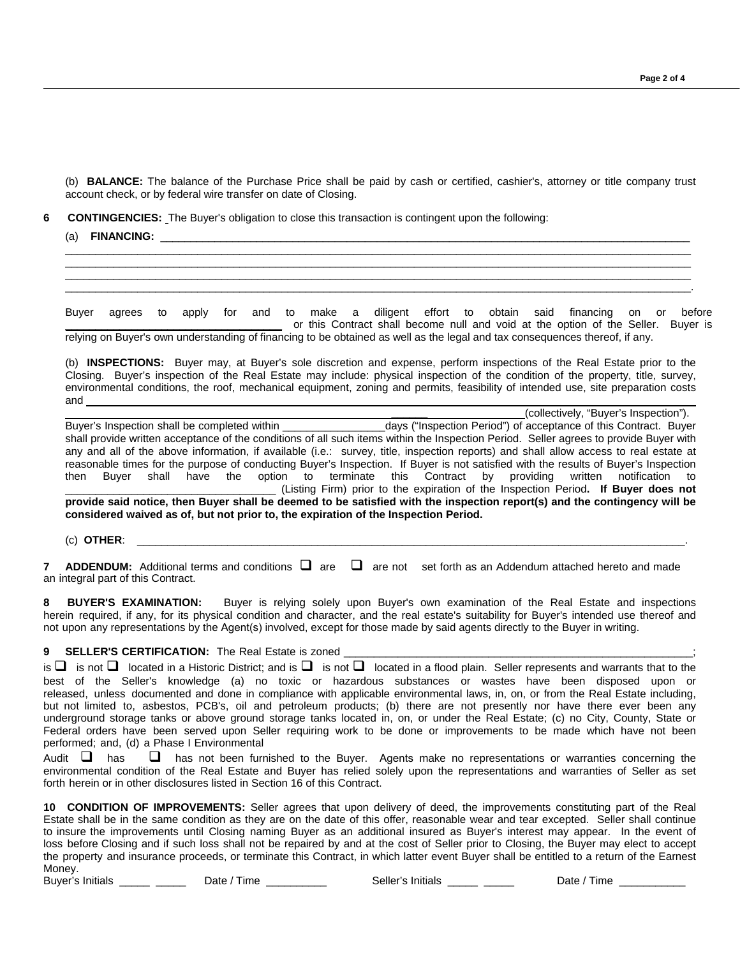(b) **BALANCE:** The balance of the Purchase Price shall be paid by cash or certified, cashier's, attorney or title company trust account check, or by federal wire transfer on date of Closing.

 $\bot$  , and the state of the state of the state of the state of the state of the state of the state of the state of the state of the state of the state of the state of the state of the state of the state of the state of th  $\bot$  , and the state of the state of the state of the state of the state of the state of the state of the state of the state of the state of the state of the state of the state of the state of the state of the state of th  $\bot$  , and the state of the state of the state of the state of the state of the state of the state of the state of the state of the state of the state of the state of the state of the state of the state of the state of th \_\_\_\_\_\_\_\_\_\_\_\_\_\_\_\_\_\_\_\_\_\_\_\_\_\_\_\_\_\_\_\_\_\_\_\_\_\_\_\_\_\_\_\_\_\_\_\_\_\_\_\_\_\_\_\_\_\_\_\_\_\_\_\_\_\_\_\_\_\_\_\_\_\_\_\_\_\_\_\_\_\_\_\_\_\_\_\_\_\_\_\_\_\_\_\_\_\_\_\_\_\_\_\_.

,我们也不能会在这里,我们也不能会在这里,我们也不能会在这里,我们也不能会不能会不能会不能会。""我们,我们也不能会不能会不能会不能会不能会不能会不能会不能会不

**6 CONTINGENCIES:** The Buyer's obligation to close this transaction is contingent upon the following:

## (a) **FINANCING:**

Buyer agrees to apply for and to make a diligent effort to obtain said financing on or before \_\_\_\_\_\_\_\_\_\_\_\_\_\_\_\_\_\_\_\_\_\_\_\_\_\_\_\_\_\_\_\_\_\_\_\_ or this Contract shall become null and void at the option of the Seller. Buyer is relying on Buyer's own understanding of financing to be obtained as well as the legal and tax consequences thereof, if any.

(b) **INSPECTIONS:** Buyer may, at Buyer's sole discretion and expense, perform inspections of the Real Estate prior to the Closing. Buyer's inspection of the Real Estate may include: physical inspection of the condition of the property, title, survey, environmental conditions, the roof, mechanical equipment, zoning and permits, feasibility of intended use, site preparation costs and

**\_\_\_\_\_\_** (collectively, "Buyer's Inspection").

Buyer's Inspection shall be completed within \_\_\_\_\_\_\_\_\_\_\_\_\_\_\_\_\_days ("Inspection Period") of acceptance of this Contract. Buyer shall provide written acceptance of the conditions of all such items within the Inspection Period. Seller agrees to provide Buyer with any and all of the above information, if available (i.e.: survey, title, inspection reports) and shall allow access to real estate at reasonable times for the purpose of conducting Buyer's Inspection. If Buyer is not satisfied with the results of Buyer's Inspection then Buyer shall have the option to terminate this Contract by providing written notification to \_\_\_\_\_\_\_\_\_\_\_\_\_\_\_\_\_\_\_\_\_\_\_\_\_\_\_\_\_\_\_\_\_\_\_ (Listing Firm) prior to the expiration of the Inspection Period**. If Buyer does not provide said notice, then Buyer shall be deemed to be satisfied with the inspection report(s) and the contingency will be considered waived as of, but not prior to, the expiration of the Inspection Period.**

(c) **OTHER**: \_\_\_\_\_\_\_\_\_\_\_\_\_\_\_\_\_\_\_\_\_\_\_\_\_\_\_\_\_\_\_\_\_\_\_\_\_\_\_\_\_\_\_\_\_\_\_\_\_\_\_\_\_\_\_\_\_\_\_\_\_\_\_\_\_\_\_\_\_\_\_\_\_\_\_\_\_\_\_\_\_\_\_\_\_\_\_\_\_\_\_.

**7 ADDENDUM:** Additional terms and conditions  $\Box$  are  $\Box$  are not set forth as an Addendum attached hereto and made an integral part of this Contract.

**8 BUYER'S EXAMINATION:** Buyer is relying solely upon Buyer's own examination of the Real Estate and inspections herein required, if any, for its physical condition and character, and the real estate's suitability for Buyer's intended use thereof and not upon any representations by the Agent(s) involved, except for those made by said agents directly to the Buyer in writing.

## **9 SELLER'S CERTIFICATION:** The Real Estate is zoned

is  $\Box$  is not  $\Box$  located in a Historic District; and is  $\Box$  is not  $\Box$  located in a flood plain. Seller represents and warrants that to the best of the Seller's knowledge (a) no toxic or hazardous substances or wastes have been disposed upon or released, unless documented and done in compliance with applicable environmental laws, in, on, or from the Real Estate including, but not limited to, asbestos, PCB's, oil and petroleum products; (b) there are not presently nor have there ever been any underground storage tanks or above ground storage tanks located in, on, or under the Real Estate; (c) no City, County, State or Federal orders have been served upon Seller requiring work to be done or improvements to be made which have not been performed; and, (d) a Phase I Environmental

Audit  $\Box$  has  $\Box$  has not been furnished to the Buyer. Agents make no representations or warranties concerning the environmental condition of the Real Estate and Buyer has relied solely upon the representations and warranties of Seller as set forth herein or in other disclosures listed in Section 16 of this Contract.

**10 CONDITION OF IMPROVEMENTS:** Seller agrees that upon delivery of deed, the improvements constituting part of the Real Estate shall be in the same condition as they are on the date of this offer, reasonable wear and tear excepted. Seller shall continue to insure the improvements until Closing naming Buyer as an additional insured as Buyer's interest may appear. In the event of loss before Closing and if such loss shall not be repaired by and at the cost of Seller prior to Closing, the Buyer may elect to accept the property and insurance proceeds, or terminate this Contract, in which latter event Buyer shall be entitled to a return of the Earnest Money.

Buyer's Initials \_\_\_\_\_ \_\_\_\_\_\_\_ Date / Time \_\_\_\_\_\_\_\_\_\_\_\_ Seller's Initials \_\_\_\_\_ \_\_\_\_\_ Date / Time \_\_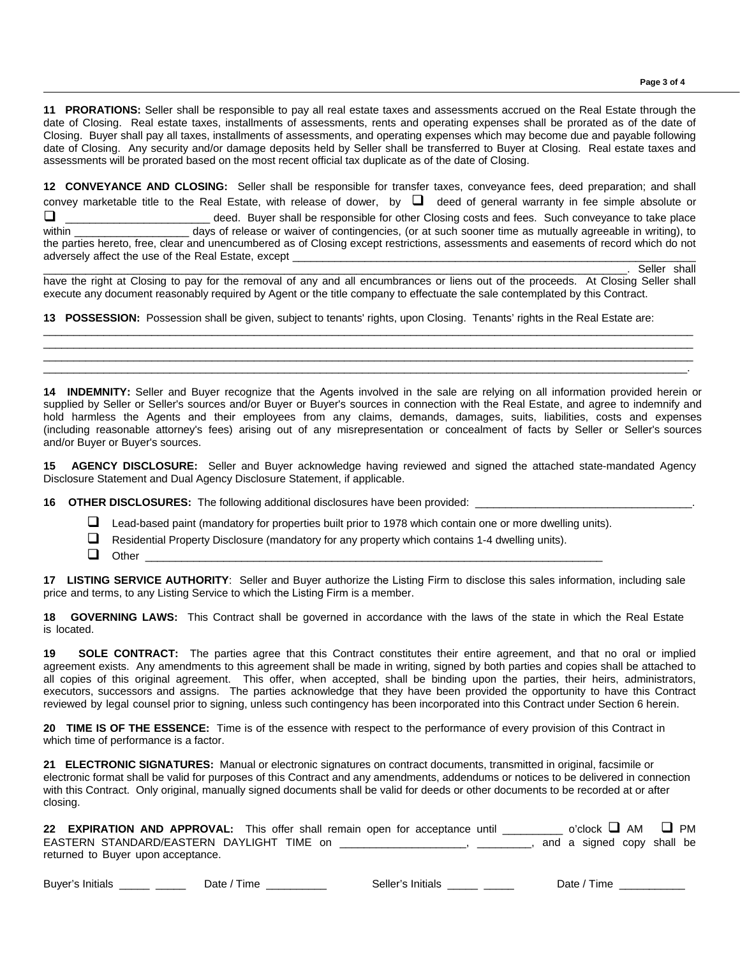**11 PRORATIONS:** Seller shall be responsible to pay all real estate taxes and assessments accrued on the Real Estate through the date of Closing. Real estate taxes, installments of assessments, rents and operating expenses shall be prorated as of the date of Closing. Buyer shall pay all taxes, installments of assessments, and operating expenses which may become due and payable following date of Closing. Any security and/or damage deposits held by Seller shall be transferred to Buyer at Closing. Real estate taxes and assessments will be prorated based on the most recent official tax duplicate as of the date of Closing.

\_\_\_\_\_\_\_\_\_\_\_\_\_\_\_\_\_\_\_\_\_\_\_\_\_\_\_\_\_\_\_\_\_\_\_\_\_\_\_\_\_\_\_\_\_\_\_\_\_\_\_\_\_\_\_\_\_\_\_\_\_\_\_\_\_\_\_\_\_\_\_\_\_\_\_\_\_\_\_\_\_\_\_\_\_\_\_\_\_\_\_\_\_\_\_\_\_\_\_\_\_\_\_\_\_\_\_\_\_\_\_\_\_\_\_\_\_\_\_\_\_\_\_\_\_\_\_\_\_\_\_\_\_\_\_\_\_\_\_\_\_\_\_\_\_\_\_\_\_\_\_\_\_\_\_\_\_\_\_\_\_\_\_\_\_\_\_\_\_\_\_\_\_\_\_\_\_\_\_\_\_\_\_\_\_\_\_\_\_\_\_\_\_\_\_\_\_\_\_\_\_\_\_\_\_\_\_\_\_\_\_\_\_\_\_\_\_\_\_\_\_\_\_\_\_\_\_\_\_\_\_\_\_\_\_\_\_\_\_\_\_\_\_\_\_\_\_\_\_\_\_\_\_\_\_\_\_\_\_\_

**12 CONVEYANCE AND CLOSING:** Seller shall be responsible for transfer taxes, conveyance fees, deed preparation; and shall convey marketable title to the Real Estate, with release of dower, by  $\Box$  deed of general warranty in fee simple absolute or

 \_\_\_\_\_\_\_\_\_\_\_\_\_\_\_\_\_\_\_\_\_\_\_\_ deed. Buyer shall be responsible for other Closing costs and fees. Such conveyance to take place within \_\_\_\_\_\_\_\_\_\_\_\_\_\_\_\_\_\_\_\_\_\_ days of release or waiver of contingencies, (or at such sooner time as mutually agreeable in writing), to the parties hereto, free, clear and unencumbered as of Closing except restrictions, assessments and easements of record which do not adversely affect the use of the Real Estate, except

\_. Seller shall have the right at Closing to pay for the removal of any and all encumbrances or liens out of the proceeds. At Closing Seller shall execute any document reasonably required by Agent or the title company to effectuate the sale contemplated by this Contract.

\_\_\_\_\_\_\_\_\_\_\_\_\_\_\_\_\_\_\_\_\_\_\_\_\_\_\_\_\_\_\_\_\_\_\_\_\_\_\_\_\_\_\_\_\_\_\_\_\_\_\_\_\_\_\_\_\_\_\_\_\_\_\_\_\_\_\_\_\_\_\_\_\_\_\_\_\_\_\_\_\_\_\_\_\_\_\_\_\_\_\_\_\_\_\_\_\_\_\_\_\_\_\_\_\_\_\_\_ \_\_\_\_\_\_\_\_\_\_\_\_\_\_\_\_\_\_\_\_\_\_\_\_\_\_\_\_\_\_\_\_\_\_\_\_\_\_\_\_\_\_\_\_\_\_\_\_\_\_\_\_\_\_\_\_\_\_\_\_\_\_\_\_\_\_\_\_\_\_\_\_\_\_\_\_\_\_\_\_\_\_\_\_\_\_\_\_\_\_\_\_\_\_\_\_\_\_\_\_\_\_\_\_\_\_\_\_ \_\_\_\_\_\_\_\_\_\_\_\_\_\_\_\_\_\_\_\_\_\_\_\_\_\_\_\_\_\_\_\_\_\_\_\_\_\_\_\_\_\_\_\_\_\_\_\_\_\_\_\_\_\_\_\_\_\_\_\_\_\_\_\_\_\_\_\_\_\_\_\_\_\_\_\_\_\_\_\_\_\_\_\_\_\_\_\_\_\_\_\_\_\_\_\_\_\_\_\_\_\_\_\_\_\_\_\_ \_\_\_\_\_\_\_\_\_\_\_\_\_\_\_\_\_\_\_\_\_\_\_\_\_\_\_\_\_\_\_\_\_\_\_\_\_\_\_\_\_\_\_\_\_\_\_\_\_\_\_\_\_\_\_\_\_\_\_\_\_\_\_\_\_\_\_\_\_\_\_\_\_\_\_\_\_\_\_\_\_\_\_\_\_\_\_\_\_\_\_\_\_\_\_\_\_\_\_\_\_\_\_\_\_\_\_.

**13 POSSESSION:** Possession shall be given, subject to tenants' rights, upon Closing. Tenants' rights in the Real Estate are:

**14 INDEMNITY:** Seller and Buyer recognize that the Agents involved in the sale are relying on all information provided herein or supplied by Seller or Seller's sources and/or Buyer or Buyer's sources in connection with the Real Estate, and agree to indemnify and hold harmless the Agents and their employees from any claims, demands, damages, suits, liabilities, costs and expenses (including reasonable attorney's fees) arising out of any misrepresentation or concealment of facts by Seller or Seller's sources and/or Buyer or Buyer's sources.

**15 AGENCY DISCLOSURE:** Seller and Buyer acknowledge having reviewed and signed the attached state-mandated Agency Disclosure Statement and Dual Agency Disclosure Statement, if applicable.

**16 OTHER DISCLOSURES:** The following additional disclosures have been provided:

 $\Box$  Lead-based paint (mandatory for properties built prior to 1978 which contain one or more dwelling units).

- Residential Property Disclosure (mandatory for any property which contains 1-4 dwelling units).
- $\Box$  Other  $\Box$

**17 LISTING SERVICE AUTHORITY**: Seller and Buyer authorize the Listing Firm to disclose this sales information, including sale price and terms, to any Listing Service to which the Listing Firm is a member.

**18 GOVERNING LAWS:** This Contract shall be governed in accordance with the laws of the state in which the Real Estate is located.

**19 SOLE CONTRACT:** The parties agree that this Contract constitutes their entire agreement, and that no oral or implied agreement exists. Any amendments to this agreement shall be made in writing, signed by both parties and copies shall be attached to all copies of this original agreement. This offer, when accepted, shall be binding upon the parties, their heirs, administrators, executors, successors and assigns. The parties acknowledge that they have been provided the opportunity to have this Contract reviewed by legal counsel prior to signing, unless such contingency has been incorporated into this Contract under Section 6 herein.

**20 TIME IS OF THE ESSENCE:** Time is of the essence with respect to the performance of every provision of this Contract in which time of performance is a factor.

**21 ELECTRONIC SIGNATURES:** Manual or electronic signatures on contract documents, transmitted in original, facsimile or electronic format shall be valid for purposes of this Contract and any amendments, addendums or notices to be delivered in connection with this Contract. Only original, manually signed documents shall be valid for deeds or other documents to be recorded at or after closing.

|  |  |                                           |  |  |  | 22 EXPIRATION AND APPROVAL: This offer shall remain open for acceptance until |  |  | o'clock $\Box$ AM $\Box$ PM |  |  |
|--|--|-------------------------------------------|--|--|--|-------------------------------------------------------------------------------|--|--|-----------------------------|--|--|
|  |  | EASTERN STANDARD/EASTERN DAYLIGHT TIME on |  |  |  |                                                                               |  |  | and a signed copy shall be  |  |  |
|  |  | returned to Buyer upon acceptance.        |  |  |  |                                                                               |  |  |                             |  |  |

Buyer's Initials \_\_\_\_\_ \_\_\_\_\_\_ Date / Time \_\_\_\_\_\_\_\_\_\_ Seller's Initials \_\_\_\_\_ \_\_\_\_ Date / Time \_\_\_\_\_\_\_\_\_